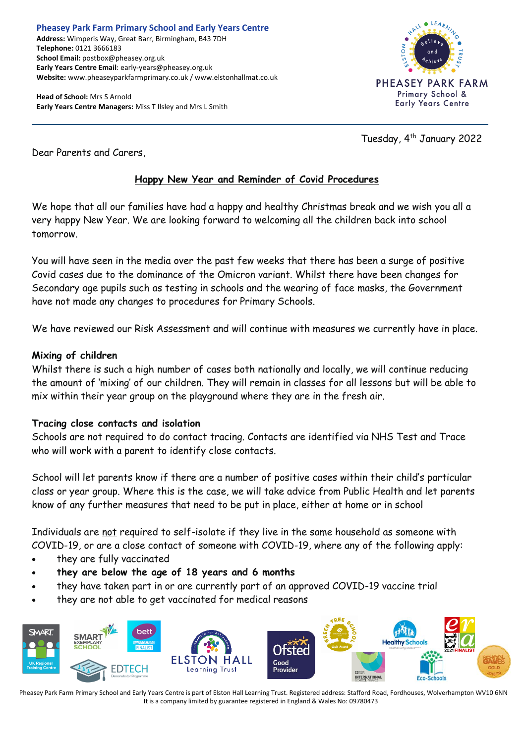**Head of School:** Mrs S Arnold **Early Years Centre Managers:** Miss T Ilsley and Mrs L Smith



Tuesday, 4<sup>th</sup> January 2022

Dear Parents and Carers,

# **Happy New Year and Reminder of Covid Procedures**

We hope that all our families have had a happy and healthy Christmas break and we wish you all a very happy New Year. We are looking forward to welcoming all the children back into school tomorrow.

You will have seen in the media over the past few weeks that there has been a surge of positive Covid cases due to the dominance of the Omicron variant. Whilst there have been changes for Secondary age pupils such as testing in schools and the wearing of face masks, the Government have not made any changes to procedures for Primary Schools.

We have reviewed our Risk Assessment and will continue with measures we currently have in place.

## **Mixing of children**

Whilst there is such a high number of cases both nationally and locally, we will continue reducing the amount of 'mixing' of our children. They will remain in classes for all lessons but will be able to mix within their year group on the playground where they are in the fresh air.

## **Tracing close contacts and isolation**

Schools are not required to do contact tracing. Contacts are identified via NHS Test and Trace who will work with a parent to identify close contacts.

School will let parents know if there are a number of positive cases within their child's particular class or year group. Where this is the case, we will take advice from Public Health and let parents know of any further measures that need to be put in place, either at home or in school

Individuals are not required to self-isolate if they live in the same household as someone with COVID-19, or are a close contact of someone with COVID-19, where any of the following apply:

- they are fully vaccinated
- **they are below the age of 18 years and 6 months**
- they have taken part in or are currently part of an approved COVID-19 vaccine trial
- they are not able to get vaccinated for medical reasons

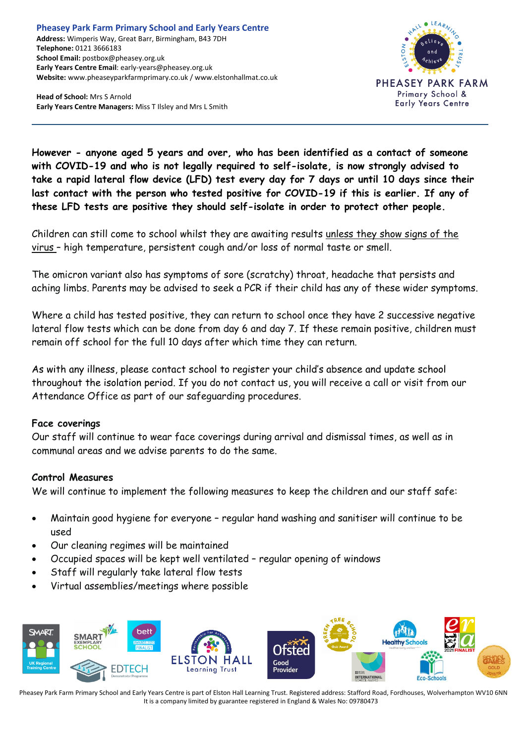**Head of School:** Mrs S Arnold **Early Years Centre Managers:** Miss T Ilsley and Mrs L Smith



**However - anyone aged 5 years and over, who has been identified as a contact of someone with COVID-19 and who is not legally required to self-isolate, is now strongly advised to take a rapid lateral flow device (LFD) test every day for 7 days or until 10 days since their last contact with the person who tested positive for COVID-19 if this is earlier. If any of these LFD tests are positive they should self-isolate in order to protect other people.**

Children can still come to school whilst they are awaiting results unless they show signs of the virus – high temperature, persistent cough and/or loss of normal taste or smell.

The omicron variant also has symptoms of sore (scratchy) throat, headache that persists and aching limbs. Parents may be advised to seek a PCR if their child has any of these wider symptoms.

Where a child has tested positive, they can return to school once they have 2 successive negative lateral flow tests which can be done from day 6 and day 7. If these remain positive, children must remain off school for the full 10 days after which time they can return.

As with any illness, please contact school to register your child's absence and update school throughout the isolation period. If you do not contact us, you will receive a call or visit from our Attendance Office as part of our safeguarding procedures.

#### **Face coverings**

Our staff will continue to wear face coverings during arrival and dismissal times, as well as in communal areas and we advise parents to do the same.

#### **Control Measures**

We will continue to implement the following measures to keep the children and our staff safe:

- Maintain good hygiene for everyone regular hand washing and sanitiser will continue to be used
- Our cleaning regimes will be maintained
- Occupied spaces will be kept well ventilated regular opening of windows
- Staff will regularly take lateral flow tests
- Virtual assemblies/meetings where possible

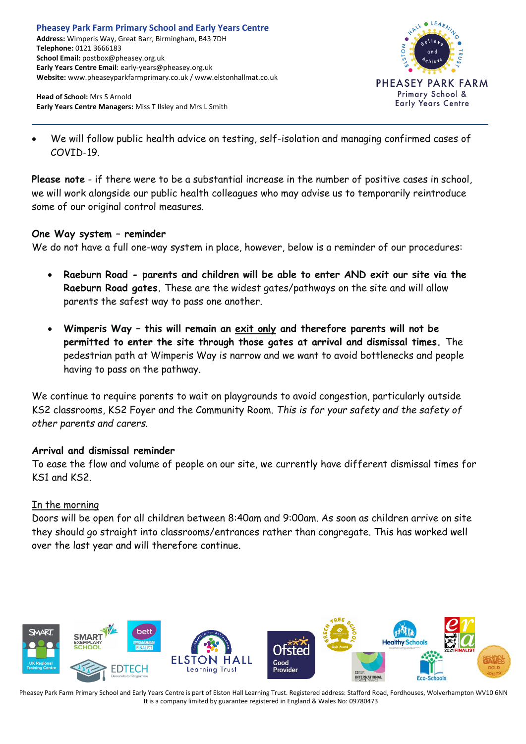

**Head of School:** Mrs S Arnold **Early Years Centre Managers:** Miss T Ilsley and Mrs L Smith

• We will follow public health advice on testing, self-isolation and managing confirmed cases of  $COVID-19$ 

**Please note** - if there were to be a substantial increase in the number of positive cases in school, we will work alongside our public health colleagues who may advise us to temporarily reintroduce some of our original control measures.

## **One Way system – reminder**

We do not have a full one-way system in place, however, below is a reminder of our procedures:

- **Raeburn Road - parents and children will be able to enter AND exit our site via the Raeburn Road gates.** These are the widest gates/pathways on the site and will allow parents the safest way to pass one another.
- **Wimperis Way – this will remain an exit only and therefore parents will not be permitted to enter the site through those gates at arrival and dismissal times.** The pedestrian path at Wimperis Way is narrow and we want to avoid bottlenecks and people having to pass on the pathway.

We continue to require parents to wait on playgrounds to avoid congestion, particularly outside KS2 classrooms, KS2 Foyer and the Community Room. *This is for your safety and the safety of other parents and carers.*

## **Arrival and dismissal reminder**

To ease the flow and volume of people on our site, we currently have different dismissal times for KS1 and KS2.

## In the morning

Doors will be open for all children between 8:40am and 9:00am. As soon as children arrive on site they should go straight into classrooms/entrances rather than congregate. This has worked well over the last year and will therefore continue.